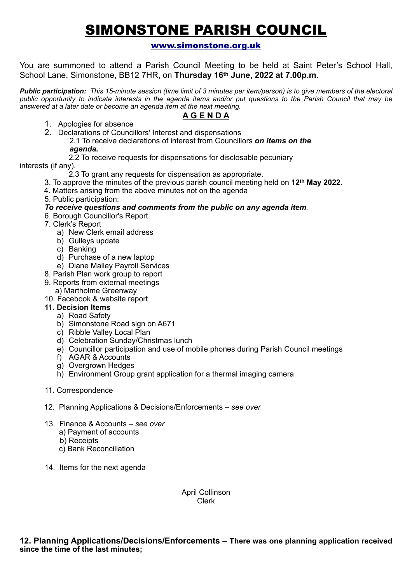# SIMONSTONE PARISH COUNCIL

## [www.simonstone.org.uk](http://www.simonstone.org.uk)

You are summoned to attend a Parish Council Meeting to be held at Saint Peter's School Hall, School Lane, Simonstone, BB12 7HR, on **Thursday 16th June, 2022 at 7.00p.m.** 

*Public participation: This 15-minute session (time limit of 3 minutes per item/person) is to give members of the electoral public opportunity to indicate interests in the agenda items and/or put questions to the Parish Council that may be answered at a later date or become an agenda item at the next meeting.*

## **A G E N D A**

- 1. Apologies for absence
- 2. Declarations of Councillors' Interest and dispensations

2.1 To receive declarations of interest from Councillors *on items on the agenda.*

2.2 To receive requests for dispensations for disclosable pecuniary

interests (if any).

- 2.3 To grant any requests for dispensation as appropriate.
- 3. To approve the minutes of the previous parish council meeting held on **12th May 2022**.
- 4. Matters arising from the above minutes not on the agenda
- 5. Public participation:

*To receive questions and comments from the public on any agenda item.*

- 6. Borough Councillor's Report
- 7. Clerk's Report
	- a) New Clerk email address
	- b) Gulleys update
	- c) Banking
	- d) Purchase of a new laptop
	- e) Diane Malley Payroll Services
- 8. Parish Plan work group to report
- 9. Reports from external meetings
- a) Martholme Greenway 10. Facebook & website report

### **11. Decision Items**

- a) Road Safety
- b) Simonstone Road sign on A671
- c) Ribble Valley Local Plan
- d) Celebration Sunday/Christmas lunch
- e) Councillor participation and use of mobile phones during Parish Council meetings
- f) AGAR & Accounts
- g) Overgrown Hedges
- h) Environment Group grant application for a thermal imaging camera
- 11. Correspondence
- 12. Planning Applications & Decisions/Enforcements *see over*
- 13. Finance & Accounts *see over* a) Payment of accounts
	- b) Receipts
	- c) Bank Reconciliation
- 14. Items for the next agenda

April Collinson Clerk